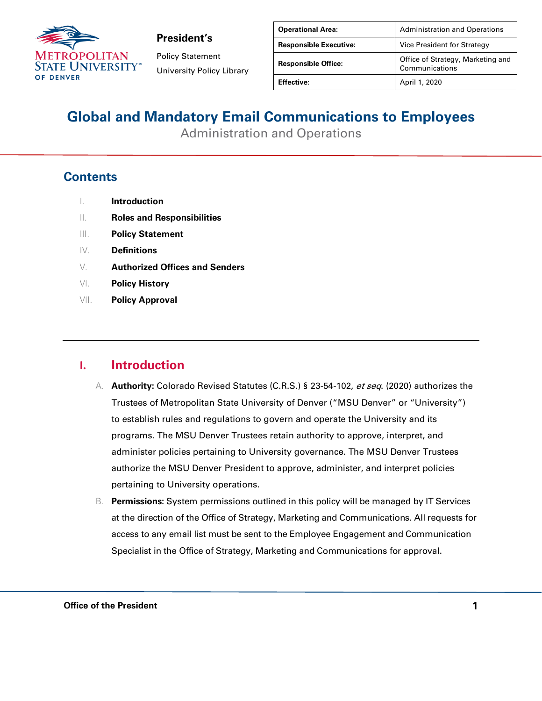

Policy Statement University Policy Library

| <b>Operational Area:</b>      | <b>Administration and Operations</b>                |
|-------------------------------|-----------------------------------------------------|
| <b>Responsible Executive:</b> | Vice President for Strategy                         |
| <b>Responsible Office:</b>    | Office of Strategy, Marketing and<br>Communications |
| <b>Effective:</b>             | April 1, 2020                                       |

## **Global and Mandatory Email Communications to Employees**

Administration and Operations

### **Contents**

|  | <b>Introduction</b> |
|--|---------------------|
|--|---------------------|

- II. **Roles and Responsibilities**
- III. **Policy Statement**
- IV. **Definitions**
- V. **Authorized Offices and Senders**
- VI. **Policy History**
- VII. **Policy Approval**

### **I. Introduction**

- A. **Authority:** Colorado Revised Statutes (C.R.S.) § 23-54-102, et seq. (2020) authorizes the Trustees of Metropolitan State University of Denver ("MSU Denver" or "University") to establish rules and regulations to govern and operate the University and its programs. The MSU Denver Trustees retain authority to approve, interpret, and administer policies pertaining to University governance. The MSU Denver Trustees authorize the MSU Denver President to approve, administer, and interpret policies pertaining to University operations.
- B. **Permissions:** System permissions outlined in this policy will be managed by IT Services at the direction of the Office of Strategy, Marketing and Communications. All requests for access to any email list must be sent to the Employee Engagement and Communication Specialist in the Office of Strategy, Marketing and Communications for approval.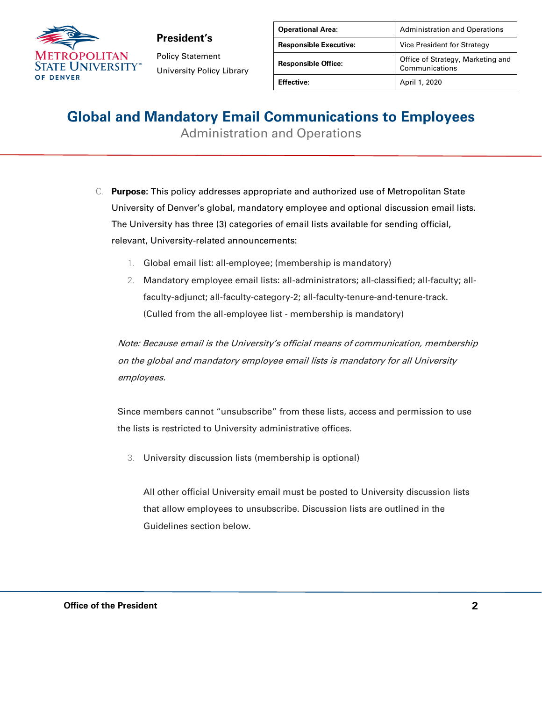

Policy Statement University Policy Library

| <b>Operational Area:</b>      | <b>Administration and Operations</b>                |
|-------------------------------|-----------------------------------------------------|
| <b>Responsible Executive:</b> | Vice President for Strategy                         |
| <b>Responsible Office:</b>    | Office of Strategy, Marketing and<br>Communications |
| <b>Effective:</b>             | April 1, 2020                                       |

# **Global and Mandatory Email Communications to Employees**

Administration and Operations

- C. **Purpose:** This policy addresses appropriate and authorized use of Metropolitan State University of Denver's global, mandatory employee and optional discussion email lists. The University has three (3) categories of email lists available for sending official, relevant, University-related announcements:
	- 1. Global email list: all-employee; (membership is mandatory)
	- 2. Mandatory employee email lists: all-administrators; all-classified; all-faculty; allfaculty-adjunct; all-faculty-category-2; all-faculty-tenure-and-tenure-track. (Culled from the all-employee list - membership is mandatory)

Note: Because email is the University's official means of communication, membership on the global and mandatory employee email lists is mandatory for all University employees.

Since members cannot "unsubscribe" from these lists, access and permission to use the lists is restricted to University administrative offices.

3. University discussion lists (membership is optional)

All other official University email must be posted to University discussion lists that allow employees to unsubscribe. Discussion lists are outlined in the Guidelines section below.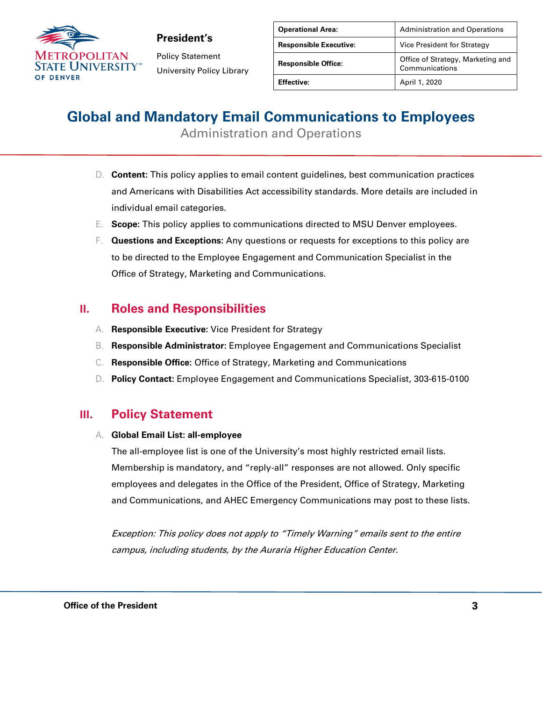

Policy Statement University Policy Library

| <b>Operational Area:</b>      | <b>Administration and Operations</b>                |
|-------------------------------|-----------------------------------------------------|
| <b>Responsible Executive:</b> | Vice President for Strategy                         |
| <b>Responsible Office:</b>    | Office of Strategy, Marketing and<br>Communications |
| <b>Effective:</b>             | April 1, 2020                                       |

## **Global and Mandatory Email Communications to Employees**

Administration and Operations

- D. **Content:** This policy applies to email content guidelines, best communication practices and Americans with Disabilities Act accessibility standards. More details are included in individual email categories.
- E. **Scope:** This policy applies to communications directed to MSU Denver employees.
- F. **Questions and Exceptions:** Any questions or requests for exceptions to this policy are to be directed to the Employee Engagement and Communication Specialist in the Office of Strategy, Marketing and Communications.

### **II. Roles and Responsibilities**

- A. **Responsible Executive:** Vice President for Strategy
- B. **Responsible Administrator:** Employee Engagement and Communications Specialist
- C. **Responsible Office:** Office of Strategy, Marketing and Communications
- D. **Policy Contact:** Employee Engagement and Communications Specialist, 303-615-0100

### **III. Policy Statement**

#### A. **Global Email List: all-employee**

The all-employee list is one of the University's most highly restricted email lists. Membership is mandatory, and "reply-all" responses are not allowed. Only specific employees and delegates in the Office of the President, Office of Strategy, Marketing and Communications, and AHEC Emergency Communications may post to these lists.

Exception: This policy does not apply to "Timely Warning" emails sent to the entire campus, including students, by the Auraria Higher Education Center.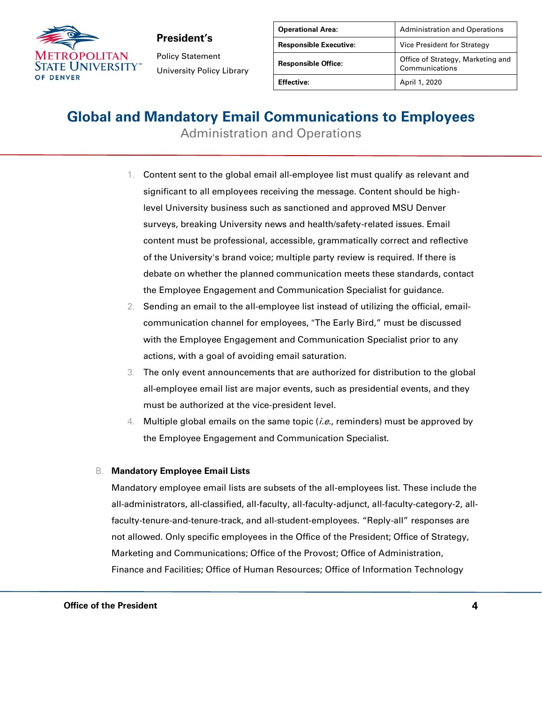

Policy Statement University Policy Library

| <b>Operational Area:</b>      | <b>Administration and Operations</b>                |
|-------------------------------|-----------------------------------------------------|
| <b>Responsible Executive:</b> | Vice President for Strategy                         |
| <b>Responsible Office:</b>    | Office of Strategy, Marketing and<br>Communications |
| <b>Effective:</b>             | April 1, 2020                                       |

## **Global and Mandatory Email Communications to Employees**

Administration and Operations

- 1. Content sent to the global email all-employee list must qualify as relevant and significant to all employees receiving the message. Content should be highlevel University business such as sanctioned and approved MSU Denver surveys, breaking University news and health/safety-related issues. Email content must be professional, accessible, grammatically correct and reflective of the University's brand voice; multiple party review is required. If there is debate on whether the planned communication meets these standards, contact the Employee Engagement and Communication Specialist for guidance.
- 2. Sending an email to the all-employee list instead of utilizing the official, emailcommunication channel for employees, "The Early Bird," must be discussed with the Employee Engagement and Communication Specialist prior to any actions, with a goal of avoiding email saturation.
- 3. The only event announcements that are authorized for distribution to the global all-employee email list are major events, such as presidential events, and they must be authorized at the vice-president level.
- 4. Multiple global emails on the same topic  $(i.e.,$  reminders) must be approved by the Employee Engagement and Communication Specialist.

#### B. **Mandatory Employee Email Lists**

Mandatory employee email lists are subsets of the all-employees list. These include the all-administrators, all-classified, all-faculty, all-faculty-adjunct, all-faculty-category-2, allfaculty-tenure-and-tenure-track, and all-student-employees. "Reply-all" responses are not allowed. Only specific employees in the Office of the President; Office of Strategy, Marketing and Communications; Office of the Provost; Office of Administration, Finance and Facilities; Office of Human Resources; Office of Information Technology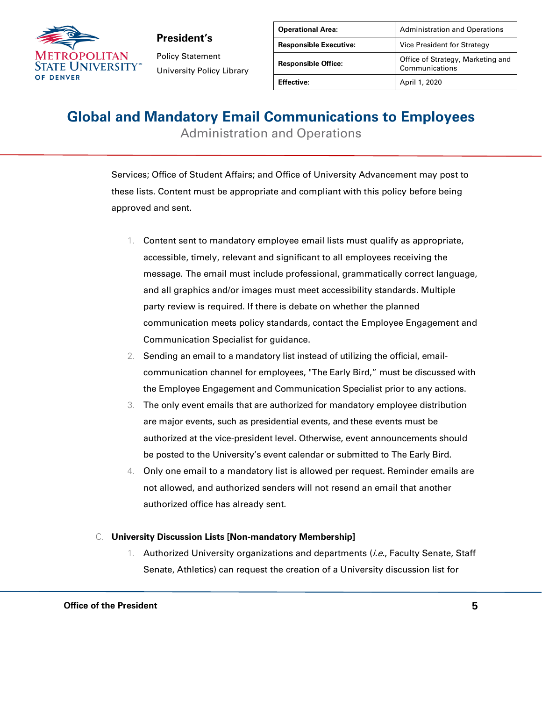

Policy Statement University Policy Library

| <b>Operational Area:</b>      | <b>Administration and Operations</b>                |
|-------------------------------|-----------------------------------------------------|
| <b>Responsible Executive:</b> | Vice President for Strategy                         |
| <b>Responsible Office:</b>    | Office of Strategy, Marketing and<br>Communications |
| <b>Effective:</b>             | April 1, 2020                                       |

## **Global and Mandatory Email Communications to Employees**

Administration and Operations

Services; Office of Student Affairs; and Office of University Advancement may post to these lists. Content must be appropriate and compliant with this policy before being approved and sent.

- 1. Content sent to mandatory employee email lists must qualify as appropriate, accessible, timely, relevant and significant to all employees receiving the message. The email must include professional, grammatically correct language, and all graphics and/or images must meet accessibility standards. Multiple party review is required. If there is debate on whether the planned communication meets policy standards, contact the Employee Engagement and Communication Specialist for guidance.
- 2. Sending an email to a mandatory list instead of utilizing the official, emailcommunication channel for employees, "The Early Bird," must be discussed with the Employee Engagement and Communication Specialist prior to any actions.
- 3. The only event emails that are authorized for mandatory employee distribution are major events, such as presidential events, and these events must be authorized at the vice-president level. Otherwise, event announcements should be posted to the University's event calendar or submitted to The Early Bird.
- 4. Only one email to a mandatory list is allowed per request. Reminder emails are not allowed, and authorized senders will not resend an email that another authorized office has already sent.

#### C. **University Discussion Lists [Non-mandatory Membership]**

1. Authorized University organizations and departments (*i.e.*, Faculty Senate, Staff Senate, Athletics) can request the creation of a University discussion list for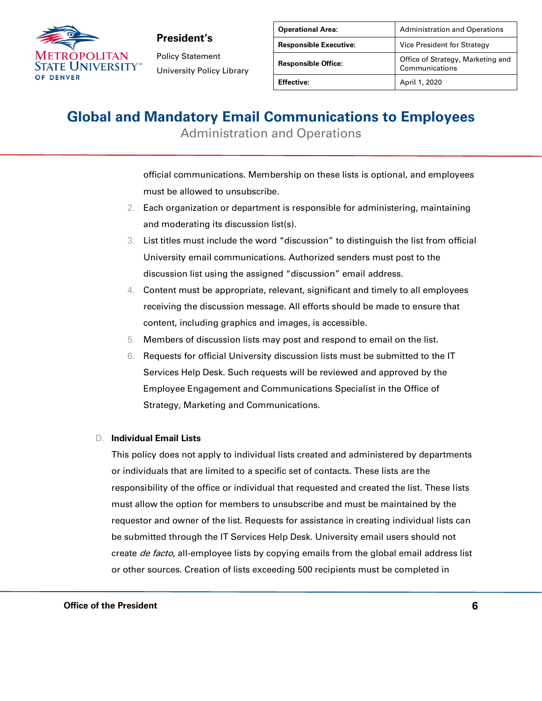

Policy Statement University Policy Library

| <b>Operational Area:</b>      | <b>Administration and Operations</b>                |
|-------------------------------|-----------------------------------------------------|
| <b>Responsible Executive:</b> | Vice President for Strategy                         |
| <b>Responsible Office:</b>    | Office of Strategy, Marketing and<br>Communications |
| <b>Effective:</b>             | April 1, 2020                                       |

## **Global and Mandatory Email Communications to Employees**

Administration and Operations

official communications. Membership on these lists is optional, and employees must be allowed to unsubscribe.

- 2. Each organization or department is responsible for administering, maintaining and moderating its discussion list(s).
- List titles must include the word "discussion" to distinguish the list from official University email communications. Authorized senders must post to the discussion list using the assigned "discussion" email address.
- 4. Content must be appropriate, relevant, significant and timely to all employees receiving the discussion message. All efforts should be made to ensure that content, including graphics and images, is accessible.
- 5. Members of discussion lists may post and respond to email on the list.
- 6. Requests for official University discussion lists must be submitted to the IT Services Help Desk. Such requests will be reviewed and approved by the Employee Engagement and Communications Specialist in the Office of Strategy, Marketing and Communications.

#### D. **Individual Email Lists**

This policy does not apply to individual lists created and administered by departments or individuals that are limited to a specific set of contacts. These lists are the responsibility of the office or individual that requested and created the list. These lists must allow the option for members to unsubscribe and must be maintained by the requestor and owner of the list. Requests for assistance in creating individual lists can be submitted through the IT Services Help Desk. University email users should not create *de facto*, all-employee lists by copying emails from the global email address list or other sources. Creation of lists exceeding 500 recipients must be completed in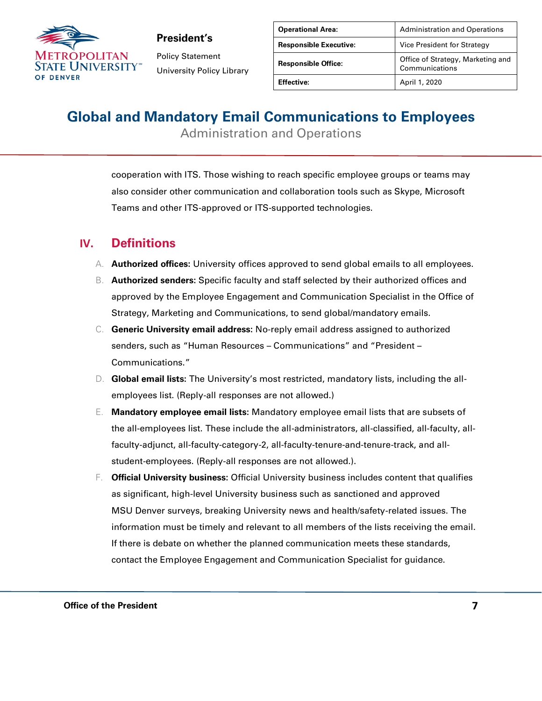

Policy Statement University Policy Library

| <b>Operational Area:</b>      | <b>Administration and Operations</b>                |
|-------------------------------|-----------------------------------------------------|
| <b>Responsible Executive:</b> | Vice President for Strategy                         |
| <b>Responsible Office:</b>    | Office of Strategy, Marketing and<br>Communications |
| <b>Effective:</b>             | April 1, 2020                                       |

## **Global and Mandatory Email Communications to Employees**

Administration and Operations

cooperation with ITS. Those wishing to reach specific employee groups or teams may also consider other communication and collaboration tools such as Skype, Microsoft Teams and other ITS-approved or ITS-supported technologies.

### **IV. Definitions**

- A. **Authorized offices:** University offices approved to send global emails to all employees.
- B. **Authorized senders:** Specific faculty and staff selected by their authorized offices and approved by the Employee Engagement and Communication Specialist in the Office of Strategy, Marketing and Communications, to send global/mandatory emails.
- C. **Generic University email address:** No-reply email address assigned to authorized senders, such as "Human Resources – Communications" and "President – Communications."
- D. **Global email lists:** The University's most restricted, mandatory lists, including the allemployees list. (Reply-all responses are not allowed.)
- E. **Mandatory employee email lists:** Mandatory employee email lists that are subsets of the all-employees list. These include the all-administrators, all-classified, all-faculty, allfaculty-adjunct, all-faculty-category-2, all-faculty-tenure-and-tenure-track, and allstudent-employees. (Reply-all responses are not allowed.).
- F. **Official University business:** Official University business includes content that qualifies as significant, high-level University business such as sanctioned and approved MSU Denver surveys, breaking University news and health/safety-related issues. The information must be timely and relevant to all members of the lists receiving the email. If there is debate on whether the planned communication meets these standards, contact the Employee Engagement and Communication Specialist for guidance.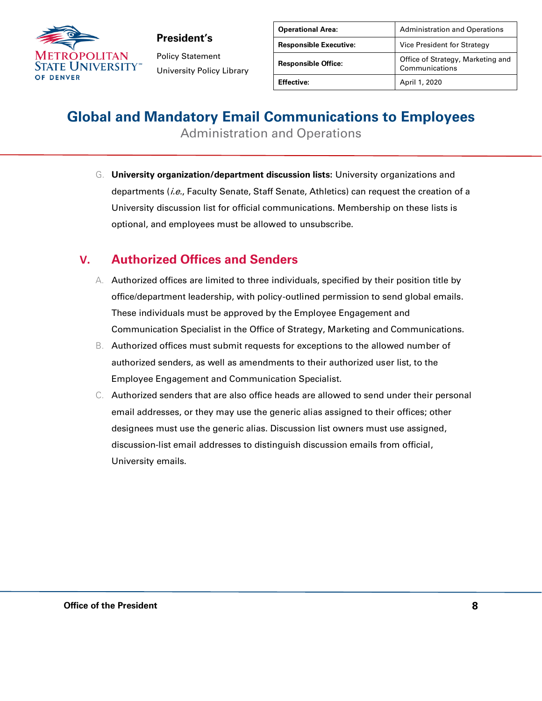

Policy Statement University Policy Library

| <b>Operational Area:</b>      | <b>Administration and Operations</b>                |
|-------------------------------|-----------------------------------------------------|
| <b>Responsible Executive:</b> | Vice President for Strategy                         |
| <b>Responsible Office:</b>    | Office of Strategy, Marketing and<br>Communications |
| <b>Effective:</b>             | April 1, 2020                                       |

# **Global and Mandatory Email Communications to Employees**

Administration and Operations

G. **University organization/department discussion lists:** University organizations and departments (*i.e.*, Faculty Senate, Staff Senate, Athletics) can request the creation of a University discussion list for official communications. Membership on these lists is optional, and employees must be allowed to unsubscribe.

### **V. Authorized Offices and Senders**

- A. Authorized offices are limited to three individuals, specified by their position title by office/department leadership, with policy-outlined permission to send global emails. These individuals must be approved by the Employee Engagement and Communication Specialist in the Office of Strategy, Marketing and Communications.
- B. Authorized offices must submit requests for exceptions to the allowed number of authorized senders, as well as amendments to their authorized user list, to the Employee Engagement and Communication Specialist.
- C. Authorized senders that are also office heads are allowed to send under their personal email addresses, or they may use the generic alias assigned to their offices; other designees must use the generic alias. Discussion list owners must use assigned, discussion-list email addresses to distinguish discussion emails from official, University emails.